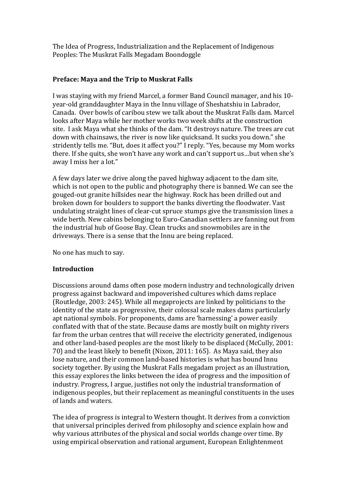The Idea of Progress, Industrialization and the Replacement of Indigenous Peoples: The Muskrat Falls Megadam Boondoggle

# **Preface: Maya and the Trip to Muskrat Falls**

I was staying with my friend Marcel, a former Band Council manager, and his 10 year-old granddaughter Maya in the Innu village of Sheshatshiu in Labrador, Canada. Over bowls of caribou stew we talk about the Muskrat Falls dam. Marcel looks after Maya while her mother works two week shifts at the construction site. I ask Maya what she thinks of the dam. "It destroys nature. The trees are cut down with chainsaws, the river is now like quicksand. It sucks you down." she stridently tells me. "But, does it affect you?" I reply. "Yes, because my Mom works there. If she quits, she won't have any work and can't support us…but when she's away I miss her a lot."

A few days later we drive along the paved highway adjacent to the dam site, which is not open to the public and photography there is banned. We can see the gouged-out granite hillsides near the highway. Rock has been drilled out and broken down for boulders to support the banks diverting the floodwater. Vast undulating straight lines of clear-cut spruce stumps give the transmission lines a wide berth. New cabins belonging to Euro-Canadian settlers are fanning out from the industrial hub of Goose Bay. Clean trucks and snowmobiles are in the driveways. There is a sense that the Innu are being replaced.

No one has much to say.

# **Introduction**

Discussions around dams often pose modern industry and technologically driven progress against backward and impoverished cultures which dams replace (Routledge, 2003: 245). While all megaprojects are linked by politicians to the identity of the state as progressive, their colossal scale makes dams particularly apt national symbols. For proponents, dams are 'harnessing' a power easily conflated with that of the state. Because dams are mostly built on mighty rivers far from the urban centres that will receive the electricity generated, indigenous and other land-based peoples are the most likely to be displaced (McCully, 2001: 70) and the least likely to benefit (Nixon, 2011: 165). As Maya said, they also lose nature, and their common land-based histories is what has bound Innu society together. By using the Muskrat Falls megadam project as an illustration, this essay explores the links between the idea of progress and the imposition of industry. Progress, I argue, justifies not only the industrial transformation of indigenous peoples, but their replacement as meaningful constituents in the uses of lands and waters.

The idea of progress is integral to Western thought. It derives from a conviction that universal principles derived from philosophy and science explain how and why various attributes of the physical and social worlds change over time. By using empirical observation and rational argument, European Enlightenment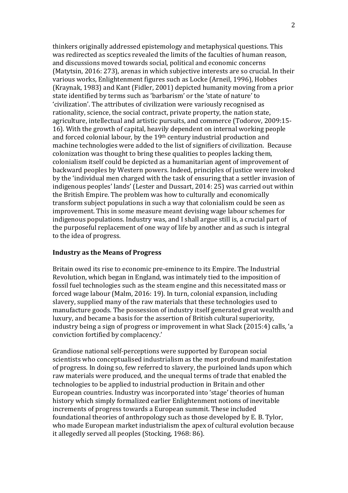thinkers originally addressed epistemology and metaphysical questions. This was redirected as sceptics revealed the limits of the faculties of human reason, and discussions moved towards social, political and economic concerns (Matytsin, 2016: 273), arenas in which subjective interests are so crucial. In their various works, Enlightenment figures such as Locke (Arneil, 1996), Hobbes (Kraynak, 1983) and Kant (Fidler, 2001) depicted humanity moving from a prior state identified by terms such as 'barbarism' or the 'state of nature' to 'civilization'. The attributes of civilization were variously recognised as rationality, science, the social contract, private property, the nation state, agriculture, intellectual and artistic pursuits, and commerce (Todorov, 2009:15- 16). With the growth of capital, heavily dependent on internal working people and forced colonial labour, by the 19th century industrial production and machine technologies were added to the list of signifiers of civilization. Because colonization was thought to bring these qualities to peoples lacking them, colonialism itself could be depicted as a humanitarian agent of improvement of backward peoples by Western powers. Indeed, principles of justice were invoked by the 'individual men charged with the task of ensuring that a settler invasion of indigenous peoples' lands' (Lester and Dussart, 2014: 25) was carried out within the British Empire. The problem was how to culturally and economically transform subject populations in such a way that colonialism could be seen as improvement. This in some measure meant devising wage labour schemes for indigenous populations. Industry was, and I shall argue still is, a crucial part of the purposeful replacement of one way of life by another and as such is integral to the idea of progress.

## **Industry as the Means of Progress**

Britain owed its rise to economic pre-eminence to its Empire. The Industrial Revolution, which began in England, was intimately tied to the imposition of fossil fuel technologies such as the steam engine and this necessitated mass or forced wage labour (Malm, 2016: 19). In turn, colonial expansion, including slavery, supplied many of the raw materials that these technologies used to manufacture goods. The possession of industry itself generated great wealth and luxury, and became a basis for the assertion of British cultural superiority, industry being a sign of progress or improvement in what Slack (2015:4) calls, 'a conviction fortified by complacency.'

Grandiose national self-perceptions were supported by European social scientists who conceptualised industrialism as the most profound manifestation of progress. In doing so, few referred to slavery, the purloined lands upon which raw materials were produced, and the unequal terms of trade that enabled the technologies to be applied to industrial production in Britain and other European countries. Industry was incorporated into 'stage' theories of human history which simply formalized earlier Enlightenment notions of inevitable increments of progress towards a European summit. These included foundational theories of anthropology such as those developed by E. B. Tylor, who made European market industrialism the apex of cultural evolution because it allegedly served all peoples (Stocking, 1968: 86).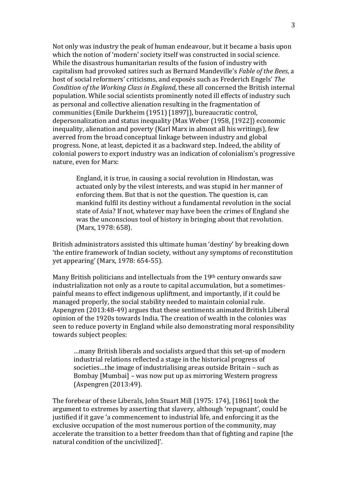Not only was industry the peak of human endeavour, but it became a basis upon which the notion of 'modern' society itself was constructed in social science. While the disastrous humanitarian results of the fusion of industry with capitalism had provoked satires such as Bernard Mandeville's *Fable of the Bees*, a host of social reformers' criticisms, and exposés such as Frederich Engels' *The Condition of the Working Class in England*, these all concerned the British internal population. While social scientists prominently noted ill effects of industry such as personal and collective alienation resulting in the fragmentation of communities (Emile Durkheim (1951) [1897]), bureaucratic control, depersonalization and status inequality (Max Weber (1958, [1922]) economic inequality, alienation and poverty (Karl Marx in almost all his writings), few averred from the broad conceptual linkage between industry and global progress. None, at least, depicted it as a backward step. Indeed, the ability of colonial powers to export industry was an indication of colonialism's progressive nature, even for Marx:

England, it is true, in causing a social revolution in Hindostan, was actuated only by the vilest interests, and was stupid in her manner of enforcing them. But that is not the question. The question is, can mankind fulfil its destiny without a fundamental revolution in the social state of Asia? If not, whatever may have been the crimes of England she was the unconscious tool of history in bringing about that revolution. (Marx, 1978: 658).

British administrators assisted this ultimate human 'destiny' by breaking down 'the entire framework of Indian society, without any symptoms of reconstitution yet appearing' (Marx, 1978: 654-55).

Many British politicians and intellectuals from the 19th century onwards saw industrialization not only as a route to capital accumulation, but a sometimespainful means to effect indigenous upliftment, and importantly, if it could be managed properly, the social stability needed to maintain colonial rule. Aspengren (2013:48-49) argues that these sentiments animated British Liberal opinion of the 1920s towards India. The creation of wealth in the colonies was seen to reduce poverty in England while also demonstrating moral responsibility towards subject peoples:

…many British liberals and socialists argued that this set-up of modern industrial relations reflected a stage in the historical progress of societies…the image of industrialising areas outside Britain – such as Bombay [Mumbai] – was now put up as mirroring Western progress (Aspengren (2013:49).

The forebear of these Liberals, John Stuart Mill (1975: 174), [1861] took the argument to extremes by asserting that slavery, although 'repugnant', could be justified if it gave 'a commencement to industrial life, and enforcing it as the exclusive occupation of the most numerous portion of the community, may accelerate the transition to a better freedom than that of fighting and rapine [the natural condition of the uncivilized]'.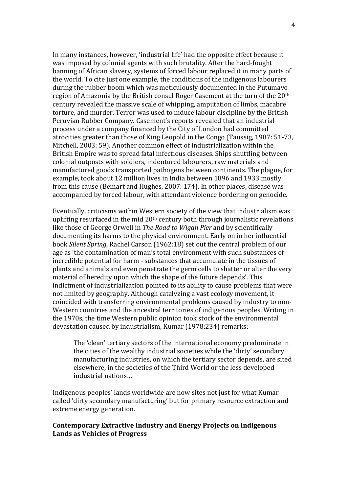In many instances, however, 'industrial life' had the opposite effect because it was imposed by colonial agents with such brutality. After the hard-fought banning of African slavery, systems of forced labour replaced it in many parts of the world. To cite just one example, the conditions of the indigenous labourers during the rubber boom which was meticulously documented in the Putumayo region of Amazonia by the British consul Roger Casement at the turn of the 20th century revealed the massive scale of whipping, amputation of limbs, macabre torture, and murder. Terror was used to induce labour discipline by the British Peruvian Rubber Company. Casement's reports revealed that an industrial process under a company financed by the City of London had committed atrocities greater than those of King Leopold in the Congo (Taussig, 1987: 51-73, Mitchell, 2003: 59). Another common effect of industrialization within the British Empire was to spread fatal infectious diseases. Ships shuttling between colonial outposts with soldiers, indentured labourers, raw materials and manufactured goods transported pathogens between continents. The plague, for example, took about 12 million lives in India between 1896 and 1933 mostly from this cause (Beinart and Hughes, 2007: 174). In other places, disease was accompanied by forced labour, with attendant violence bordering on genocide.

Eventually, criticisms within Western society of the view that industrialism was uplifting resurfaced in the mid  $20<sup>th</sup>$  century both through journalistic revelations like those of George Orwell in *The Road to Wigan Pier* and by scientifically documenting its harms to the physical environment. Early on in her influential book *Silent Spring*, Rachel Carson (1962:18) set out the central problem of our age as 'the contamination of man's total environment with such substances of incredible potential for harm - substances that accumulate in the tissues of plants and animals and even penetrate the germ cells to shatter or alter the very material of heredity upon which the shape of the future depends'. This indictment of industrialization pointed to its ability to cause problems that were not limited by geography. Although catalyzing a vast ecology movement, it coincided with transferring environmental problems caused by industry to non-Western countries and the ancestral territories of indigenous peoples. Writing in the 1970s, the time Western public opinion took stock of the environmental devastation caused by industrialism, Kumar (1978:234) remarks:

The 'clean' tertiary sectors of the international economy predominate in the cities of the wealthy industrial societies while the 'dirty' secondary manufacturing industries, on which the tertiary sector depends, are sited elsewhere, in the societies of the Third World or the less developed industrial nations…

Indigenous peoples' lands worldwide are now sites not just for what Kumar called 'dirty secondary manufacturing' but for primary resource extraction and extreme energy generation.

## **Contemporary Extractive Industry and Energy Projects on Indigenous Lands as Vehicles of Progress**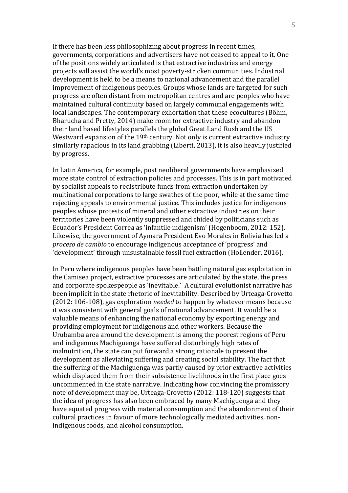If there has been less philosophizing about progress in recent times, governments, corporations and advertisers have not ceased to appeal to it. One of the positions widely articulated is that extractive industries and energy projects will assist the world's most poverty-stricken communities. Industrial development is held to be a means to national advancement and the parallel improvement of indigenous peoples. Groups whose lands are targeted for such progress are often distant from metropolitan centres and are peoples who have maintained cultural continuity based on largely communal engagements with local landscapes. The contemporary exhortation that these ecocultures (Böhm, Bharucha and Pretty, 2014) make room for extractive industry and abandon their land based lifestyles parallels the global Great Land Rush and the US Westward expansion of the 19<sup>th</sup> century. Not only is current extractive industry similarly rapacious in its land grabbing (Liberti, 2013), it is also heavily justified by progress.

In Latin America, for example, post neoliberal governments have emphasized more state control of extraction policies and processes. This is in part motivated by socialist appeals to redistribute funds from extraction undertaken by multinational corporations to large swathes of the poor, while at the same time rejecting appeals to environmental justice. This includes justice for indigenous peoples whose protests of mineral and other extractive industries on their territories have been violently suppressed and chided by politicians such as Ecuador's President Correa as 'infantile indigenism' (Hogenboom, 2012: 152). Likewise, the government of Aymara President Evo Morales in Bolivia has led a *proceso de cambio* to encourage indigenous acceptance of 'progress' and 'development' through unsustainable fossil fuel extraction (Hollender, 2016).

In Peru where indigenous peoples have been battling natural gas exploitation in the Camisea project, extractive processes are articulated by the state, the press and corporate spokespeople as 'inevitable.' A cultural evolutionist narrative has been implicit in the state rhetoric of inevitability. Described by Urteaga-Crovetto (2012: 106-108), gas exploration *needed* to happen by whatever means because it was consistent with general goals of national advancement. It would be a valuable means of enhancing the national economy by exporting energy and providing employment for indigenous and other workers. Because the Urubamba area around the development is among the poorest regions of Peru and indigenous Machiguenga have suffered disturbingly high rates of malnutrition, the state can put forward a strong rationale to present the development as alleviating suffering and creating social stability. The fact that the suffering of the Machiguenga was partly caused by prior extractive activities which displaced them from their subsistence livelihoods in the first place goes uncommented in the state narrative. Indicating how convincing the promissory note of development may be, Urteaga-Crovetto (2012: 118-120) suggests that the idea of progress has also been embraced by many Machiguenga and they have equated progress with material consumption and the abandonment of their cultural practices in favour of more technologically mediated activities, nonindigenous foods, and alcohol consumption.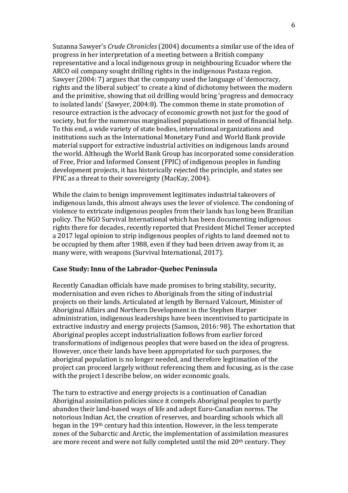Suzanna Sawyer's *Crude Chronicles* (2004) documents a similar use of the idea of progress in her interpretation of a meeting between a British company representative and a local indigenous group in neighbouring Ecuador where the ARCO oil company sought drilling rights in the indigenous Pastaza region. Sawyer (2004: 7) argues that the company used the language of 'democracy, rights and the liberal subject' to create a kind of dichotomy between the modern and the primitive, showing that oil drilling would bring 'progress and democracy to isolated lands' (Sawyer, 2004:8). The common theme in state promotion of resource extraction is the advocacy of economic growth not just for the good of society, but for the numerous marginalised populations in need of financial help. To this end, a wide variety of state bodies, international organizations and institutions such as the International Monetary Fund and World Bank provide material support for extractive industrial activities on indigenous lands around the world. Although the World Bank Group has incorporated some consideration of Free, Prior and Informed Consent (FPIC) of indigenous peoples in funding development projects, it has historically rejected the principle, and states see FPIC as a threat to their sovereignty (MacKay, 2004).

While the claim to benign improvement legitimates industrial takeovers of indigenous lands, this almost always uses the lever of violence. The condoning of violence to extricate indigenous peoples from their lands has long been Brazilian policy. The NGO Survival International which has been documenting indigenous rights there for decades, recently reported that President Michel Temer accepted a 2017 legal opinion to strip indigenous peoples of rights to land deemed not to be occupied by them after 1988, even if they had been driven away from it, as many were, with weapons (Survival International, 2017).

## **Case Study: Innu of the Labrador-Quebec Peninsula**

Recently Canadian officials have made promises to bring stability, security, modernisation and even riches to Aboriginals from the siting of industrial projects on their lands. Articulated at length by Bernard Valcourt, Minister of Aboriginal Affairs and Northern Development in the Stephen Harper administration, indigenous leaderships have been incentivised to participate in extractive industry and energy projects (Samson, 2016: 98). The exhortation that Aboriginal peoples accept industrialization follows from earlier forced transformations of indigenous peoples that were based on the idea of progress. However, once their lands have been appropriated for such purposes, the aboriginal population is no longer needed, and therefore legitimation of the project can proceed largely without referencing them and focusing, as is the case with the project I describe below, on wider economic goals.

The turn to extractive and energy projects is a continuation of Canadian Aboriginal assimilation policies since it compels Aboriginal peoples to partly abandon their land-based ways of life and adopt Euro-Canadian norms. The notorious Indian Act, the creation of reserves, and boarding schools which all began in the 19th century had this intention. However, in the less temperate zones of the Subarctic and Arctic, the implementation of assimilation measures are more recent and were not fully completed until the mid 20<sup>th</sup> century. They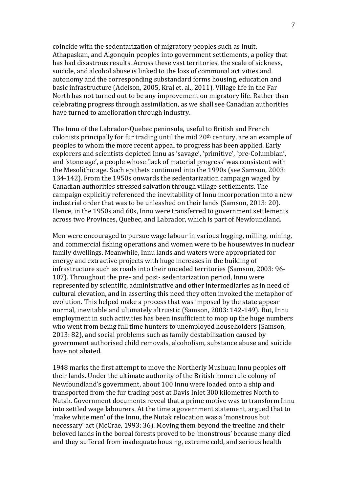coincide with the sedentarization of migratory peoples such as Inuit, Athapaskan, and Algonquin peoples into government settlements, a policy that has had disastrous results. Across these vast territories, the scale of sickness, suicide, and alcohol abuse is linked to the loss of communal activities and autonomy and the corresponding substandard forms housing, education and basic infrastructure (Adelson, 2005, Kral et. al., 2011). Village life in the Far North has not turned out to be any improvement on migratory life. Rather than celebrating progress through assimilation, as we shall see Canadian authorities have turned to amelioration through industry.

The Innu of the Labrador-Quebec peninsula, useful to British and French colonists principally for fur trading until the mid 20th century, are an example of peoples to whom the more recent appeal to progress has been applied. Early explorers and scientists depicted Innu as 'savage', 'primitive', 'pre-Columbian', and 'stone age', a people whose 'lack of material progress' was consistent with the Mesolithic age. Such epithets continued into the 1990s (see Samson, 2003: 134-142). From the 1950s onwards the sedentarization campaign waged by Canadian authorities stressed salvation through village settlements. The campaign explicitly referenced the inevitability of Innu incorporation into a new industrial order that was to be unleashed on their lands (Samson, 2013: 20). Hence, in the 1950s and 60s, Innu were transferred to government settlements across two Provinces, Quebec, and Labrador, which is part of Newfoundland.

Men were encouraged to pursue wage labour in various logging, milling, mining, and commercial fishing operations and women were to be housewives in nuclear family dwellings. Meanwhile, Innu lands and waters were appropriated for energy and extractive projects with huge increases in the building of infrastructure such as roads into their unceded territories (Samson, 2003: 96- 107). Throughout the pre- and post- sedentarization period, Innu were represented by scientific, administrative and other intermediaries as in need of cultural elevation, and in asserting this need they often invoked the metaphor of evolution. This helped make a process that was imposed by the state appear normal, inevitable and ultimately altruistic (Samson, 2003: 142-149). But, Innu employment in such activities has been insufficient to mop up the huge numbers who went from being full time hunters to unemployed householders (Samson, 2013: 82), and social problems such as family destabilization caused by government authorised child removals, alcoholism, substance abuse and suicide have not abated.

1948 marks the first attempt to move the Northerly Mushuau Innu peoples off their lands. Under the ultimate authority of the British home rule colony of Newfoundland's government, about 100 Innu were loaded onto a ship and transported from the fur trading post at Davis Inlet 300 kilometres North to Nutak. Government documents reveal that a prime motive was to transform Innu into settled wage labourers. At the time a government statement, argued that to 'make white men' of the Innu, the Nutak relocation was a 'monstrous but necessary' act (McCrae, 1993: 36). Moving them beyond the treeline and their beloved lands in the boreal forests proved to be 'monstrous' because many died and they suffered from inadequate housing, extreme cold, and serious health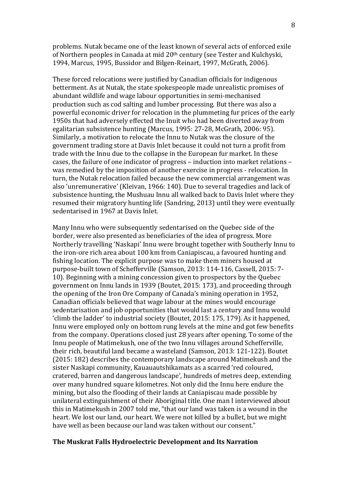problems. Nutak became one of the least known of several acts of enforced exile of Northern peoples in Canada at mid 20th century (see Tester and Kulchyski, 1994, Marcus, 1995, Bussidor and Bilgen-Reinart, 1997, McGrath, 2006).

These forced relocations were justified by Canadian officials for indigenous betterment. As at Nutak, the state spokespeople made unrealistic promises of abundant wildlife and wage labour opportunities in semi-mechanised production such as cod salting and lumber processing. But there was also a powerful economic driver for relocation in the plummeting fur prices of the early 1950s that had adversely effected the Inuit who had been diverted away from egalitarian subsistence hunting (Marcus, 1995: 27-28, McGrath, 2006: 95). Similarly, a motivation to relocate the Innu to Nutak was the closure of the government trading store at Davis Inlet because it could not turn a profit from trade with the Innu due to the collapse in the European fur market. In these cases, the failure of one indicator of progress – induction into market relations – was remedied by the imposition of another exercise in progress - relocation. In turn, the Nutak relocation failed because the new commercial arrangement was also 'unremunerative' (Kleivan, 1966: 140). Due to several tragedies and lack of subsistence hunting, the Mushuau Innu all walked back to Davis Inlet where they resumed their migratory hunting life (Sandring, 2013) until they were eventually sedentarised in 1967 at Davis Inlet.

Many Innu who were subsequently sedentarised on the Quebec side of the border, were also presented as beneficiaries of the idea of progress. More Northerly travelling 'Naskapi' Innu were brought together with Southerly Innu to the iron-ore rich area about 100 km from Caniapiscau, a favoured hunting and fishing location. The explicit purpose was to make them miners housed at purpose-built town of Schefferville (Samson, 2013: 114-116, Cassell, 2015: 7- 10). Beginning with a mining concession given to prospectors by the Quebec government on Innu lands in 1939 (Boutet, 2015: 173), and proceeding through the opening of the Iron Ore Company of Canada's mining operation in 1952, Canadian officials believed that wage labour at the mines would encourage sedentarisation and job opportunities that would last a century and Innu would 'climb the ladder' to industrial society (Boutet, 2015: 175, 179). As it happened, Innu were employed only on bottom rung levels at the mine and got few benefits from the company. Operations closed just 28 years after opening. To some of the Innu people of Matimekush, one of the two Innu villages around Schefferville, their rich, beautiful land became a wasteland (Samson, 2013: 121-122). Boutet (2015: 182) describes the contemporary landscape around Matimekush and the sister Naskapi community, Kauauautshikamats as a scarred 'red coloured, cratered, barren and dangerous landscape', hundreds of metres deep, extending over many hundred square kilometres. Not only did the Innu here endure the mining, but also the flooding of their lands at Caniapiscau made possible by unilateral extinguishment of their Aboriginal title. One man I interviewed about this in Matimekush in 2007 told me, "that our land was taken is a wound in the heart. We lost our land, our heart. We were not killed by a bullet, but we might have well as been because our land was taken without our consent."

#### **The Muskrat Falls Hydroelectric Development and Its Narration**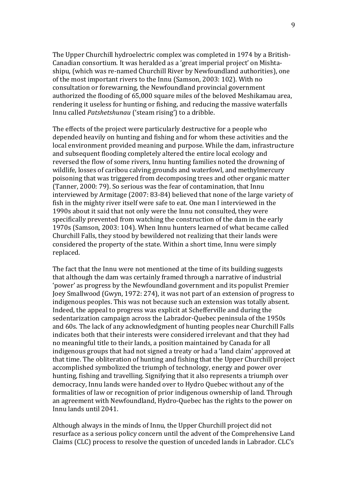The Upper Churchill hydroelectric complex was completed in 1974 by a British-Canadian consortium. It was heralded as a 'great imperial project' on Mishtashipu, (which was re-named Churchill River by Newfoundland authorities), one of the most important rivers to the Innu (Samson, 2003: 102). With no consultation or forewarning, the Newfoundland provincial government authorized the flooding of 65,000 square miles of the beloved Meshikamau area, rendering it useless for hunting or fishing, and reducing the massive waterfalls Innu called *Patshetshunau* ('steam rising') to a dribble.

The effects of the project were particularly destructive for a people who depended heavily on hunting and fishing and for whom these activities and the local environment provided meaning and purpose. While the dam, infrastructure and subsequent flooding completely altered the entire local ecology and reversed the flow of some rivers, Innu hunting families noted the drowning of wildlife, losses of caribou calving grounds and waterfowl, and methylmercury poisoning that was triggered from decomposing trees and other organic matter (Tanner, 2000: 79). So serious was the fear of contamination, that Innu interviewed by Armitage (2007: 83-84) believed that none of the large variety of fish in the mighty river itself were safe to eat. One man I interviewed in the 1990s about it said that not only were the Innu not consulted, they were specifically prevented from watching the construction of the dam in the early 1970s (Samson, 2003: 104). When Innu hunters learned of what became called Churchill Falls, they stood by bewildered not realizing that their lands were considered the property of the state. Within a short time, Innu were simply replaced.

The fact that the Innu were not mentioned at the time of its building suggests that although the dam was certainly framed through a narrative of industrial 'power' as progress by the Newfoundland government and its populist Premier Joey Smallwood (Gwyn, 1972: 274), it was not part of an extension of progress to indigenous peoples. This was not because such an extension was totally absent. Indeed, the appeal to progress was explicit at Schefferville and during the sedentarization campaign across the Labrador-Quebec peninsula of the 1950s and 60s. The lack of any acknowledgment of hunting peoples near Churchill Falls indicates both that their interests were considered irrelevant and that they had no meaningful title to their lands, a position maintained by Canada for all indigenous groups that had not signed a treaty or had a 'land claim' approved at that time. The obliteration of hunting and fishing that the Upper Churchill project accomplished symbolized the triumph of technology, energy and power over hunting, fishing and travelling. Signifying that it also represents a triumph over democracy, Innu lands were handed over to Hydro Quebec without any of the formalities of law or recognition of prior indigenous ownership of land. Through an agreement with Newfoundland, Hydro-Quebec has the rights to the power on Innu lands until 2041.

Although always in the minds of Innu, the Upper Churchill project did not resurface as a serious policy concern until the advent of the Comprehensive Land Claims (CLC) process to resolve the question of unceded lands in Labrador. CLC's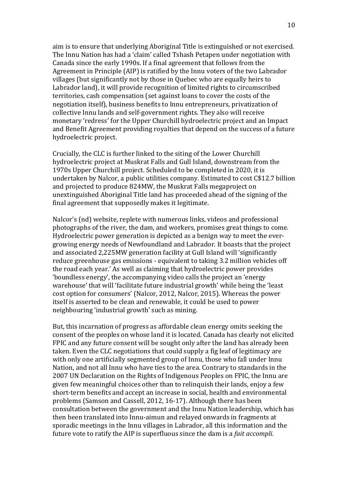aim is to ensure that underlying Aboriginal Title is extinguished or not exercised. The Innu Nation has had a 'claim' called Tshash Petapen under negotiation with Canada since the early 1990s. If a final agreement that follows from the Agreement in Principle (AIP) is ratified by the Innu voters of the two Labrador villages (but significantly not by those in Quebec who are equally heirs to Labrador land), it will provide recognition of limited rights to circumscribed territories, cash compensation (set against loans to cover the costs of the negotiation itself), business benefits to Innu entrepreneurs, privatization of collective Innu lands and self-government rights. They also will receive monetary 'redress' for the Upper Churchill hydroelectric project and an Impact and Benefit Agreement providing royalties that depend on the success of a future hydroelectric project.

Crucially, the CLC is further linked to the siting of the Lower Churchill hydroelectric project at Muskrat Falls and Gull Island, downstream from the 1970s Upper Churchill project. Scheduled to be completed in 2020, it is undertaken by Nalcor, a public utilities company. Estimated to cost C\$12.7 billion and projected to produce 824MW, the Muskrat Falls megaproject on unextinguished Aboriginal Title land has proceeded ahead of the signing of the final agreement that supposedly makes it legitimate.

Nalcor's (nd) website, replete with numerous links, videos and professional photographs of the river, the dam, and workers, promises great things to come. Hydroelectric power generation is depicted as a benign way to meet the evergrowing energy needs of Newfoundland and Labrador. It boasts that the project and associated 2,225MW generation facility at Gull Island will 'significantly reduce greenhouse gas emissions - equivalent to taking 3.2 million vehicles off the road each year.' As well as claiming that hydroelectric power provides 'boundless energy', the accompanying video calls the project an 'energy warehouse' that will 'facilitate future industrial growth' while being the 'least cost option for consumers' (Nalcor, 2012, Nalcor, 2015). Whereas the power itself is asserted to be clean and renewable, it could be used to power neighbouring 'industrial growth' such as mining.

But, this incarnation of progress as affordable clean energy omits seeking the consent of the peoples on whose land it is located. Canada has clearly not elicited FPIC and any future consent will be sought only after the land has already been taken. Even the CLC negotiations that could supply a fig leaf of legitimacy are with only one artificially segmented group of Innu, those who fall under Innu Nation, and not all Innu who have ties to the area. Contrary to standards in the 2007 UN Declaration on the Rights of Indigenous Peoples on FPIC, the Innu are given few meaningful choices other than to relinquish their lands, enjoy a few short-term benefits and accept an increase in social, health and environmental problems (Samson and Cassell, 2012, 16-17). Although there has been consultation between the government and the Innu Nation leadership, which has then been translated into Innu-aimun and relayed onwards in fragments at sporadic meetings in the Innu villages in Labrador, all this information and the future vote to ratify the AIP is superfluous since the dam is a *fait accompli*.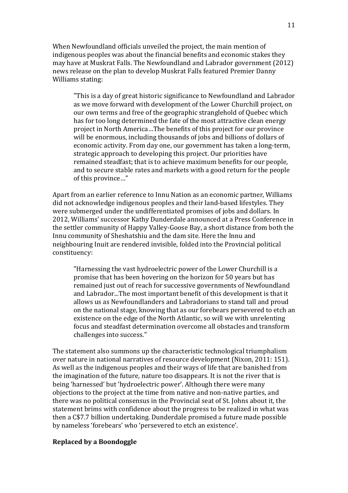When Newfoundland officials unveiled the project, the main mention of indigenous peoples was about the financial benefits and economic stakes they may have at Muskrat Falls. The Newfoundland and Labrador government (2012) news release on the plan to develop Muskrat Falls featured Premier Danny Williams stating:

"This is a day of great historic significance to Newfoundland and Labrador as we move forward with development of the Lower Churchill project, on our own terms and free of the geographic stranglehold of Quebec which has for too long determined the fate of the most attractive clean energy project in North America…The benefits of this project for our province will be enormous, including thousands of jobs and billions of dollars of economic activity. From day one, our government has taken a long-term, strategic approach to developing this project. Our priorities have remained steadfast; that is to achieve maximum benefits for our people, and to secure stable rates and markets with a good return for the people of this province…"

Apart from an earlier reference to Innu Nation as an economic partner, Williams did not acknowledge indigenous peoples and their land-based lifestyles. They were submerged under the undifferentiated promises of jobs and dollars. In 2012, Williams' successor Kathy Dunderdale announced at a Press Conference in the settler community of Happy Valley-Goose Bay, a short distance from both the Innu community of Sheshatshiu and the dam site. Here the Innu and neighbouring Inuit are rendered invisible, folded into the Provincial political constituency:

"Harnessing the vast hydroelectric power of the Lower Churchill is a promise that has been hovering on the horizon for 50 years but has remained just out of reach for successive governments of Newfoundland and Labrador...The most important benefit of this development is that it allows us as Newfoundlanders and Labradorians to stand tall and proud on the national stage, knowing that as our forebears persevered to etch an existence on the edge of the North Atlantic, so will we with unrelenting focus and steadfast determination overcome all obstacles and transform challenges into success."

The statement also summons up the characteristic technological triumphalism over nature in national narratives of resource development (Nixon, 2011: 151). As well as the indigenous peoples and their ways of life that are banished from the imagination of the future, nature too disappears. It is not the river that is being 'harnessed' but 'hydroelectric power'. Although there were many objections to the project at the time from native and non-native parties, and there was no political consensus in the Provincial seat of St. Johns about it, the statement brims with confidence about the progress to be realized in what was then a C\$7.7 billion undertaking. Dunderdale promised a future made possible by nameless 'forebears' who 'persevered to etch an existence'.

## **Replaced by a Boondoggle**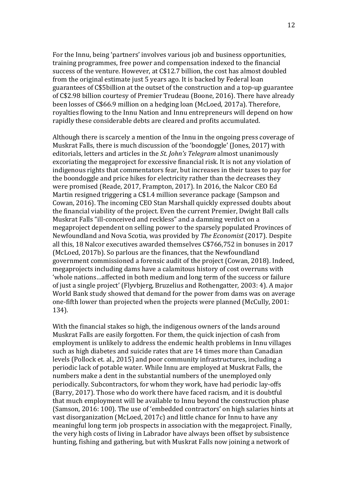For the Innu, being 'partners' involves various job and business opportunities, training programmes, free power and compensation indexed to the financial success of the venture. However, at C\$12.7 billion, the cost has almost doubled from the original estimate just 5 years ago. It is backed by Federal loan guarantees of C\$5billion at the outset of the construction and a top-up guarantee of C\$2.98 billion courtesy of Premier Trudeau (Boone, 2016). There have already been losses of C\$66.9 million on a hedging loan (McLoed, 2017a). Therefore, royalties flowing to the Innu Nation and Innu entrepreneurs will depend on how rapidly these considerable debts are cleared and profits accumulated.

Although there is scarcely a mention of the Innu in the ongoing press coverage of Muskrat Falls, there is much discussion of the 'boondoggle' (Jones, 2017) with editorials, letters and articles in the *St. John's Telegram* almost unanimously excoriating the megaproject for excessive financial risk. It is not any violation of indigenous rights that commentators fear, but increases in their taxes to pay for the boondoggle and price hikes for electricity rather than the decreases they were promised (Reade, 2017, Frampton, 2017). In 2016, the Nalcor CEO Ed Martin resigned triggering a C\$1.4 million severance package (Sampson and Cowan, 2016). The incoming CEO Stan Marshall quickly expressed doubts about the financial viability of the project. Even the current Premier, Dwight Ball calls Muskrat Falls "ill-conceived and reckless" and a damning verdict on a megaproject dependent on selling power to the sparsely populated Provinces of Newfoundland and Nova Scotia, was provided by *The Economist* (2017). Despite all this, 18 Nalcor executives awarded themselves C\$766,752 in bonuses in 2017 (McLoed, 2017b). So parlous are the finances, that the Newfoundland government commissioned a forensic audit of the project (Cowan, 2018). Indeed, megaprojects including dams have a calamitous history of cost overruns with 'whole nations…affected in both medium and long term of the success or failure of just a single project' (Flyvbjerg, Bruzelius and Rothengatter, 2003: 4). A major World Bank study showed that demand for the power from dams was on average one-fifth lower than projected when the projects were planned (McCully, 2001: 134).

With the financial stakes so high, the indigenous owners of the lands around Muskrat Falls are easily forgotten. For them, the quick injection of cash from employment is unlikely to address the endemic health problems in Innu villages such as high diabetes and suicide rates that are 14 times more than Canadian levels (Pollock et. al., 2015) and poor community infrastructures, including a periodic lack of potable water. While Innu are employed at Muskrat Falls, the numbers make a dent in the substantial numbers of the unemployed only periodically. Subcontractors, for whom they work, have had periodic lay-offs (Barry, 2017). Those who do work there have faced racism, and it is doubtful that much employment will be available to Innu beyond the construction phase (Samson, 2016: 100). The use of 'embedded contractors' on high salaries hints at vast disorganization (McLoed, 2017c) and little chance for Innu to have any meaningful long term job prospects in association with the megaproject. Finally, the very high costs of living in Labrador have always been offset by subsistence hunting, fishing and gathering, but with Muskrat Falls now joining a network of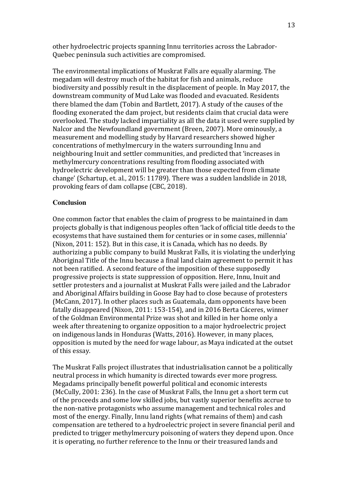other hydroelectric projects spanning Innu territories across the Labrador-Quebec peninsula such activities are compromised.

The environmental implications of Muskrat Falls are equally alarming. The megadam will destroy much of the habitat for fish and animals, reduce biodiversity and possibly result in the displacement of people. In May 2017, the downstream community of Mud Lake was flooded and evacuated. Residents there blamed the dam (Tobin and Bartlett, 2017). A study of the causes of the flooding exonerated the dam project, but residents claim that crucial data were overlooked. The study lacked impartiality as all the data it used were supplied by Nalcor and the Newfoundland government (Breen, 2007). More ominously, a measurement and modelling study by Harvard researchers showed higher concentrations of methylmercury in the waters surrounding Innu and neighbouring Inuit and settler communities, and predicted that 'increases in methylmercury concentrations resulting from flooding associated with hydroelectric development will be greater than those expected from climate change' (Schartup, et. al., 2015: 11789). There was a sudden landslide in 2018, provoking fears of dam collapse (CBC, 2018).

## **Conclusion**

One common factor that enables the claim of progress to be maintained in dam projects globally is that indigenous peoples often 'lack of official title deeds to the ecosystems that have sustained them for centuries or in some cases, millennia' (Nixon, 2011: 152). But in this case, it is Canada, which has no deeds. By authorizing a public company to build Muskrat Falls, it is violating the underlying Aboriginal Title of the Innu because a final land claim agreement to permit it has not been ratified. A second feature of the imposition of these supposedly progressive projects is state suppression of opposition. Here, Innu, Inuit and settler protesters and a journalist at Muskrat Falls were jailed and the Labrador and Aboriginal Affairs building in Goose Bay had to close because of protesters (McCann, 2017). In other places such as Guatemala, dam opponents have been fatally disappeared (Nixon, 2011: 153-154), and in 2016 Berta Cáceres, winner of the Goldman Environmental Prize was shot and killed in her home only a week after threatening to organize opposition to a major hydroelectric project on indigenous lands in Honduras (Watts, 2016). However, in many places, opposition is muted by the need for wage labour, as Maya indicated at the outset of this essay.

The Muskrat Falls project illustrates that industrialisation cannot be a politically neutral process in which humanity is directed towards ever more progress. Megadams principally benefit powerful political and economic interests (McCully, 2001: 236). In the case of Muskrat Falls, the Innu get a short term cut of the proceeds and some low skilled jobs, but vastly superior benefits accrue to the non-native protagonists who assume management and technical roles and most of the energy. Finally, Innu land rights (what remains of them) and cash compensation are tethered to a hydroelectric project in severe financial peril and predicted to trigger methylmercury poisoning of waters they depend upon. Once it is operating, no further reference to the Innu or their treasured lands and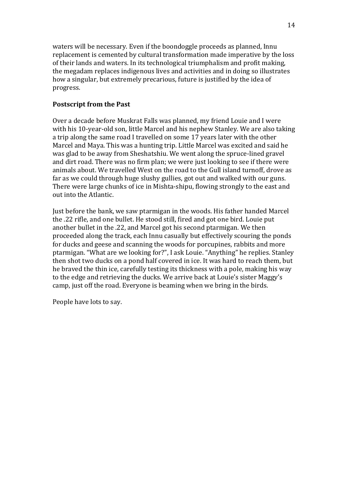waters will be necessary. Even if the boondoggle proceeds as planned, Innu replacement is cemented by cultural transformation made imperative by the loss of their lands and waters. In its technological triumphalism and profit making, the megadam replaces indigenous lives and activities and in doing so illustrates how a singular, but extremely precarious, future is justified by the idea of progress.

## **Postscript from the Past**

Over a decade before Muskrat Falls was planned, my friend Louie and I were with his 10-year-old son, little Marcel and his nephew Stanley. We are also taking a trip along the same road I travelled on some 17 years later with the other Marcel and Maya. This was a hunting trip. Little Marcel was excited and said he was glad to be away from Sheshatshiu. We went along the spruce-lined gravel and dirt road. There was no firm plan; we were just looking to see if there were animals about. We travelled West on the road to the Gull island turnoff, drove as far as we could through huge slushy gullies, got out and walked with our guns. There were large chunks of ice in Mishta-shipu, flowing strongly to the east and out into the Atlantic.

Just before the bank, we saw ptarmigan in the woods. His father handed Marcel the .22 rifle, and one bullet. He stood still, fired and got one bird. Louie put another bullet in the .22, and Marcel got his second ptarmigan. We then proceeded along the track, each Innu casually but effectively scouring the ponds for ducks and geese and scanning the woods for porcupines, rabbits and more ptarmigan. "What are we looking for?", I ask Louie. "Anything" he replies. Stanley then shot two ducks on a pond half covered in ice. It was hard to reach them, but he braved the thin ice, carefully testing its thickness with a pole, making his way to the edge and retrieving the ducks. We arrive back at Louie's sister Maggy's camp, just off the road. Everyone is beaming when we bring in the birds.

People have lots to say.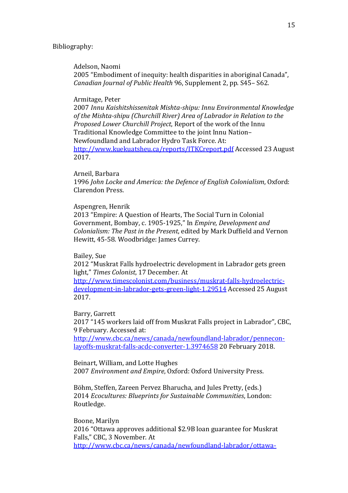### Bibliography:

Adelson, Naomi

2005 "Embodiment of inequity: health disparities in aboriginal Canada", *Canadian Journal of Public Health* 96, Supplement 2, pp. S45– S62.

## Armitage, Peter

2007 *Innu Kaishitshissenitak Mishta-shipu: Innu Environmental Knowledge of the Mishta-shipu (Churchill River) Area of Labrador in Relation to the Proposed Lower Churchill Project*, Report of the work of the Innu Traditional Knowledge Committee to the joint Innu Nation– Newfoundland and Labrador Hydro Task Force. At: http://www.kuekuatsheu.ca/reports/ITKCreport.pdf Accessed 23 August 2017.

### Arneil, Barbara

1996 *John Locke and America: the Defence of English Colonialism*, Oxford: Clarendon Press.

#### Aspengren, Henrik

2013 "Empire: A Question of Hearts, The Social Turn in Colonial Government, Bombay, c. 1905-1925," In *Empire, Development and Colonialism: The Past in the Present*, edited by Mark Duffield and Vernon Hewitt, 45-58. Woodbridge: James Currey.

## Bailey, Sue

2012 "Muskrat Falls hydroelectric development in Labrador gets green light," *Times Colonist*, 17 December. At

http://www.timescolonist.com/business/muskrat-falls-hydroelectricdevelopment-in-labrador-gets-green-light-1.29514 Accessed 25 August 2017.

Barry, Garrett

2017 "145 workers laid off from Muskrat Falls project in Labrador", CBC, 9 February. Accessed at:

http://www.cbc.ca/news/canada/newfoundland-labrador/penneconlayoffs-muskrat-falls-acdc-converter-1.3974658 20 February 2018.

Beinart, William, and Lotte Hughes

2007 *Environment and Empire*, Oxford: Oxford University Press.

Böhm, Steffen, Zareen Pervez Bharucha, and Jules Pretty, (eds.) 2014 *Ecocultures: Blueprints for Sustainable Communities*, London: Routledge.

Boone, Marilyn

2016 "Ottawa approves additional \$2.9B loan guarantee for Muskrat Falls," CBC, 3 November. At http://www.cbc.ca/news/canada/newfoundland-labrador/ottawa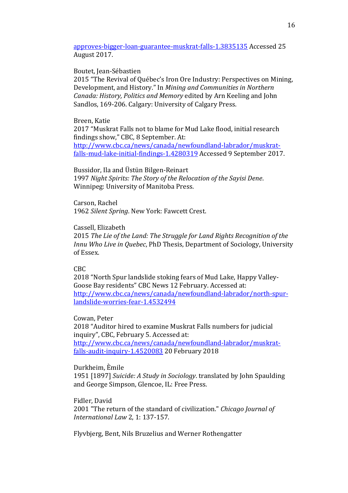approves-bigger-loan-guarantee-muskrat-falls-1.3835135 Accessed 25 August 2017.

#### Boutet, Jean-Sébastien

2015 "The Revival of Québec's Iron Ore Industry: Perspectives on Mining, Development, and History." In *Mining and Communities in Northern Canada: History, Politics and Memory* edited by Arn Keeling and John Sandlos, 169-206. Calgary: University of Calgary Press.

## Breen, Katie

2017 "Muskrat Falls not to blame for Mud Lake flood, initial research findings show," CBC, 8 September. At: http://www.cbc.ca/news/canada/newfoundland-labrador/muskratfalls-mud-lake-initial-findings-1.4280319 Accessed 9 September 2017.

Bussidor, Ila and Üstün Bilgen-Reinart 1997 *Night Spirits: The Story of the Relocation of the Sayisi Dene*. Winnipeg: University of Manitoba Press.

Carson, Rachel 1962 *Silent Spring*. New York: Fawcett Crest.

## Cassell, Elizabeth

2015 *The Lie of the Land: The Struggle for Land Rights Recognition of the Innu Who Live in Quebec*, PhD Thesis, Department of Sociology, University of Essex.

## CBC

2018 "North Spur landslide stoking fears of Mud Lake, Happy Valley-Goose Bay residents" CBC News 12 February. Accessed at: http://www.cbc.ca/news/canada/newfoundland-labrador/north-spurlandslide-worries-fear-1.4532494

### Cowan, Peter

2018 "Auditor hired to examine Muskrat Falls numbers for judicial inquiry", CBC, February 5. Accessed at: http://www.cbc.ca/news/canada/newfoundland-labrador/muskrat-

falls-audit-inquiry-1.4520083 20 February 2018

#### Durkheim, Èmile

1951 [1897] *Suicide: A Study in Sociology*. translated by John Spaulding and George Simpson, Glencoe, IL: Free Press.

#### Fidler, David

2001 "The return of the standard of civilization." *Chicago Journal of International Law* 2, 1: 137-157.

Flyvbjerg, Bent, Nils Bruzelius and Werner Rothengatter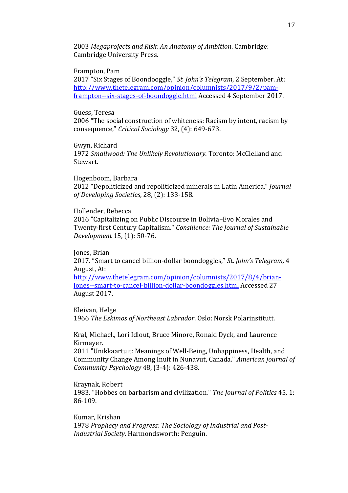2003 *Megaprojects and Risk: An Anatomy of Ambition*. Cambridge: Cambridge University Press.

### Frampton, Pam

2017 "Six Stages of Boondooggle," *St. John's Telegram*, 2 September. At: http://www.thetelegram.com/opinion/columnists/2017/9/2/pamframpton--six-stages-of-boondoggle.html Accessed 4 September 2017.

## Guess, Teresa

2006 "The social construction of whiteness: Racism by intent, racism by consequence," *Critical Sociology* 32, (4): 649-673.

Gwyn, Richard 1972 *Smallwood: The Unlikely Revolutionary*. Toronto: McClelland and Stewart.

Hogenboom, Barbara 2012 "Depoliticized and repoliticized minerals in Latin America," *Journal of Developing Societies*, 28, (2): 133-158.

### Hollender, Rebecca

2016 "Capitalizing on Public Discourse in Bolivia–Evo Morales and Twenty-first Century Capitalism." *Consilience: The Journal of Sustainable Development* 15, (1): 50-76.

Jones, Brian

2017. "Smart to cancel billion-dollar boondoggles," *St. John's Telegram,* 4 August, At:

http://www.thetelegram.com/opinion/columnists/2017/8/4/brianjones--smart-to-cancel-billion-dollar-boondoggles.html Accessed 27 August 2017.

Kleivan, Helge 1966 *The Eskimos of Northeast Labrador*. Oslo: Norsk Polarinstitutt.

Kral, Michael., Lori Idlout, Bruce Minore, Ronald Dyck, and Laurence Kirmayer.

2011 "Unikkaartuit: Meanings of Well-Being, Unhappiness, Health, and Community Change Among Inuit in Nunavut, Canada." *American journal of Community Psychology* 48, (3-4): 426-438.

 Kraynak, Robert 1983. "Hobbes on barbarism and civilization." *The Journal of Politics* 45, 1: 86-109.

Kumar, Krishan 1978 *Prophecy and Progress: The Sociology of Industrial and Post-Industrial Society*. Harmondsworth: Penguin.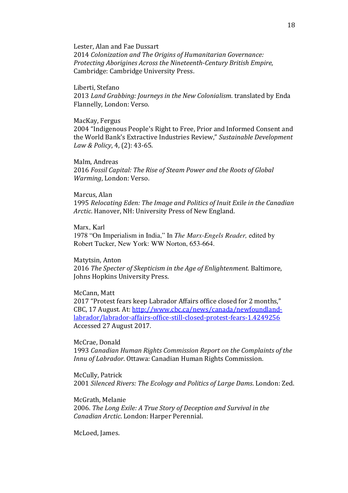Lester, Alan and Fae Dussart

2014 *Colonization and The Origins of Humanitarian Governance: Protecting Aborigines Across the Nineteenth-Century British Empire*, Cambridge: Cambridge University Press.

Liberti, Stefano

2013 *Land Grabbing: Journeys in the New Colonialism*. translated by Enda Flannelly, London: Verso.

MacKay, Fergus

2004 "Indigenous People's Right to Free, Prior and Informed Consent and the World Bank's Extractive Industries Review," *Sustainable Development Law & Policy*, 4, (2): 43-65.

Malm, Andreas

2016 *Fossil Capital: The Rise of Steam Power and the Roots of Global Warming*, London: Verso.

### Marcus, Alan

1995 *Relocating Eden: The Image and Politics of Inuit Exile in the Canadian Arctic*. Hanover, NH: University Press of New England.

Marx, Karl 1978 "On Imperialism in India," In *The Marx-Engels Reader,* edited by Robert Tucker, New York: WW Norton, 653-664.

Matytsin, Anton

2016 *The Specter of Skepticism in the Age of Enlightenment*. Baltimore, Johns Hopkins University Press.

## McCann, Matt

2017 "Protest fears keep Labrador Affairs office closed for 2 months," CBC, 17 August. At: http://www.cbc.ca/news/canada/newfoundlandlabrador/labrador-affairs-office-still-closed-protest-fears-1.4249256 Accessed 27 August 2017.

McCrae, Donald

1993 *Canadian Human Rights Commission Report on the Complaints of the Innu of Labrador*. Ottawa: Canadian Human Rights Commission.

McCully, Patrick 2001 *Silenced Rivers: The Ecology and Politics of Large Dams*. London: Zed.

McGrath, Melanie 2006. *The Long Exile: A True Story of Deception and Survival in the Canadian Arctic*. London: Harper Perennial.

McLoed, James.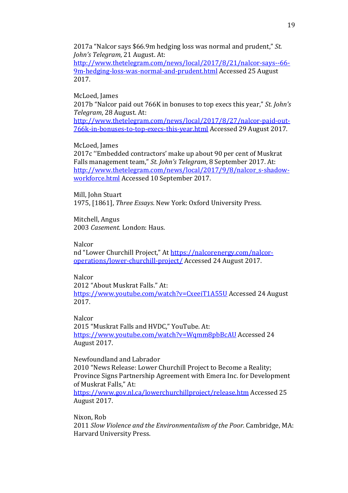2017a "Nalcor says \$66.9m hedging loss was normal and prudent," *St. John's Telegram*, 21 August. At:

http://www.thetelegram.com/news/local/2017/8/21/nalcor-says--66- 9m-hedging-loss-was-normal-and-prudent.html Accessed 25 August 2017.

McLoed, James

2017b "Nalcor paid out 766K in bonuses to top execs this year," *St. John's Telegram*, 28 August. At:

http://www.thetelegram.com/news/local/2017/8/27/nalcor-paid-out-766k-in-bonuses-to-top-execs-this-year.html Accessed 29 August 2017.

## McLoed, James

2017c ''Embedded contractors' make up about 90 per cent of Muskrat Falls management team," *St. John's Telegram*, 8 September 2017. At: http://www.thetelegram.com/news/local/2017/9/8/nalcor\_s-shadowworkforce.html Accessed 10 September 2017.

Mill, John Stuart 1975, [1861], *Three Essays*. New York: Oxford University Press.

Mitchell, Angus 2003 *Casement*. London: Haus.

### Nalcor

nd "Lower Churchill Project," At https://nalcorenergy.com/nalcoroperations/lower-churchill-project/ Accessed 24 August 2017.

## Nalcor

2012 "About Muskrat Falls." At: https://www.youtube.com/watch?v=CxeeiT1A55U Accessed 24 August 2017.

**Nalcor** 

2015 "Muskrat Falls and HVDC," YouTube. At: https://www.youtube.com/watch?v=Wqmm8pbBcAU Accessed 24 August 2017.

Newfoundland and Labrador

2010 "News Release: Lower Churchill Project to Become a Reality; Province Signs Partnership Agreement with Emera Inc. for Development of Muskrat Falls," At:

https://www.gov.nl.ca/lowerchurchillproject/release.htm Accessed 25 August 2017.

Nixon, Rob 2011 *Slow Violence and the Environmentalism of the Poor.* Cambridge, MA: Harvard University Press.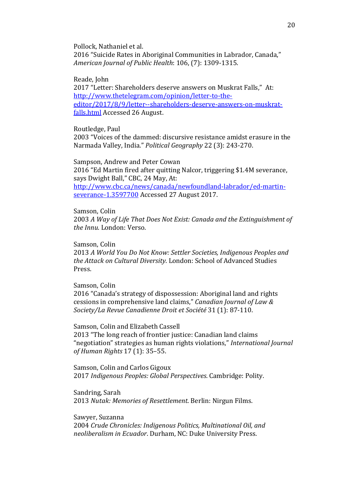Pollock, Nathaniel et al.

2016 "Suicide Rates in Aboriginal Communities in Labrador, Canada," *American Journal of Public Health*: 106, (7): 1309-1315.

Reade, John

2017 "Letter: Shareholders deserve answers on Muskrat Falls," At: http://www.thetelegram.com/opinion/letter-to-theeditor/2017/8/9/letter--shareholders-deserve-answers-on-muskratfalls.html Accessed 26 August.

Routledge, Paul

2003 "Voices of the dammed: discursive resistance amidst erasure in the Narmada Valley, India." *Political Geography* 22 (3): 243-270.

Sampson, Andrew and Peter Cowan 2016 "Ed Martin fired after quitting Nalcor, triggering \$1.4M severance, says Dwight Ball," CBC, 24 May, At: http://www.cbc.ca/news/canada/newfoundland-labrador/ed-martinseverance-1.3597700 Accessed 27 August 2017.

Samson, Colin

2003 *A Way of Life That Does Not Exist: Canada and the Extinguishment of the Innu*. London: Verso.

Samson, Colin

2013 *A World You Do Not Know: Settler Societies, Indigenous Peoples and the Attack on Cultural Diversity*. London: School of Advanced Studies Press.

Samson, Colin

2016 "Canada's strategy of dispossession: Aboriginal land and rights cessions in comprehensive land claims," *Canadian Journal of Law & Society/La Revue Canadienne Droit et Société* 31 (1): 87-110.

Samson, Colin and Elizabeth Cassell 2013 "The long reach of frontier justice: Canadian land claims "negotiation" strategies as human rights violations," *International Journal of Human Rights* 17 (1): 35–55.

Samson, Colin and Carlos Gigoux 2017 *Indigenous Peoples: Global Perspectives*. Cambridge: Polity.

Sandring, Sarah 2013 *Nutak: Memories of Resettlement*. Berlin: Nirgun Films.

Sawyer, Suzanna

2004 *Crude Chronicles: Indigenous Politics, Multinational Oil, and neoliberalism in Ecuador*. Durham, NC: Duke University Press.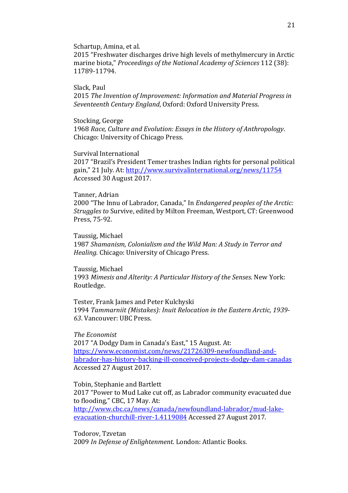Schartup, Amina, et al.

2015 "Freshwater discharges drive high levels of methylmercury in Arctic marine biota," *Proceedings of the National Academy of Sciences* 112 (38): 11789-11794.

Slack, Paul

2015 *The Invention of Improvement: Information and Material Progress in Seventeenth Century England*, Oxford: Oxford University Press.

Stocking, George

1968 *Race, Culture and Evolution: Essays in the History of Anthropology*. Chicago: University of Chicago Press.

Survival International

2017 "Brazil's President Temer trashes Indian rights for personal political gain," 21 July. At: http://www.survivalinternational.org/news/11754 Accessed 30 August 2017.

### Tanner, Adrian

2000 "The Innu of Labrador, Canada," In *Endangered peoples of the Arctic: Struggles to* Survive, edited by Milton Freeman, Westport, CT: Greenwood Press, 75-92.

Taussig, Michael

1987 *Shamanism, Colonialism and the Wild Man: A Study in Terror and Healing*. Chicago: University of Chicago Press.

Taussig, Michael 1993 *Mimesis and Alterity: A Particular History of the Senses*. New York: Routledge.

Tester, Frank James and Peter Kulchyski 1994 *Tammarniit (Mistakes): Inuit Relocation in the Eastern Arctic, 1939- 63*. Vancouver: UBC Press.

*The Economist* 2017 "A Dodgy Dam in Canada's East," 15 August. At: https://www.economist.com/news/21726309-newfoundland-andlabrador-has-history-backing-ill-conceived-projects-dodgy-dam-canadas Accessed 27 August 2017.

Tobin, Stephanie and Bartlett 2017 "Power to Mud Lake cut off, as Labrador community evacuated due to flooding," CBC, 17 May. At: http://www.cbc.ca/news/canada/newfoundland-labrador/mud-lakeevacuation-churchill-river-1.4119084 Accessed 27 August 2017.

Todorov, Tzvetan 2009 *In Defense of Enlightenment*. London: Atlantic Books.